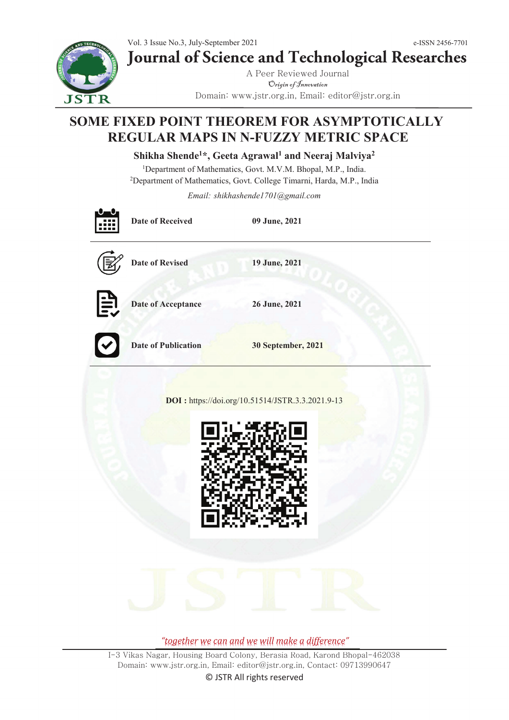Vol. 3 Issue No.3, July-September 2021 e-ISSN 2456-7701 **Journal of Science and Technological Researches**

**JSTR** 

A Peer Reviewed Journal Origin of Innovation Domain: www.jstr.org.in, Email: editor@jstr.org.in

# **SOME FIXED POINT THEOREM FOR ASYMPTOTICALLY REGULAR MAPS IN N-FUZZY METRIC SPACE**

**Shikha Shende1\*, Geeta Agrawal1 and Neeraj Malviya2**

<sup>1</sup>Department of Mathematics, Govt. M.V.M. Bhopal, M.P., India.<br><sup>2</sup>Department of Mathematics, Govt. College Timarni, Harda, M.P., In Department of Mathematics, Govt. College Timarni, Harda, M.P., India

*Email: shikhashende1701@gmail.com*

|                                                  | <b>Date of Received</b> | 09 June, 2021      |
|--------------------------------------------------|-------------------------|--------------------|
|                                                  | Date of Revised         | 19 June, 2021      |
| $\mathbb{E}$                                     | Date of Acceptance      | 26 June, 2021      |
| $\mathbf{C}$                                     | Date of Publication     | 30 September, 2021 |
| DOI: https://doi.org/10.51514/JSTR.3.3.2021.9-13 |                         |                    |
|                                                  |                         |                    |

*"together we can and we will make a difference"*

I-3 Vikas Nagar, Housing Board Colony, Berasia Road, Karond Bhopal-462038 Domain: www.jstr.org.in, Email: editor@jstr.org.in, Contact: 09713990647 © JSTR All rights reserved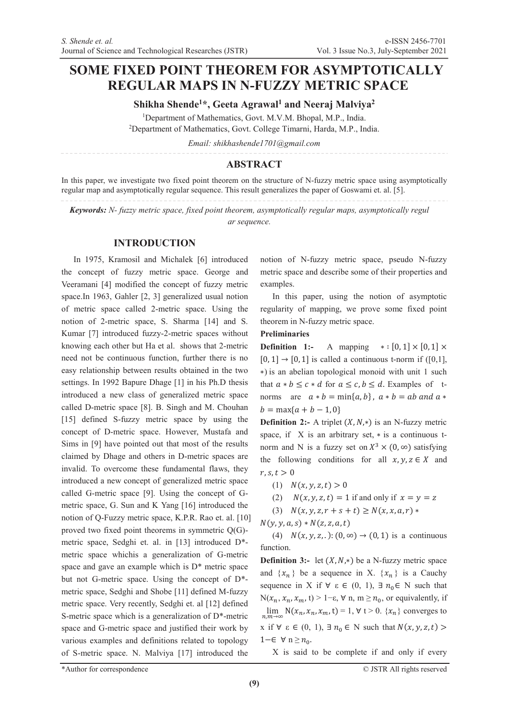## **SOME FIXED POINT THEOREM FOR ASYMPTOTICALLY REGULAR MAPS IN N-FUZZY METRIC SPACE**

**Shikha Shende1\*, Geeta Agrawal1 and Neeraj Malviya2**

<sup>1</sup>Department of Mathematics, Govt. M.V.M. Bhopal, M.P., India.<br><sup>2</sup>Department of Mathematics, Govt. College Timarni, Harda, M.P., In. <sup>2</sup>Department of Mathematics, Govt. College Timarni, Harda, M.P., India.

*Email: shikhashende1701@gmail.com*

#### **ABSTRACT**

In this paper, we investigate two fixed point theorem on the structure of N-fuzzy metric space using asymptotically regular map and asymptotically regular sequence. This result generalizes the paper of Goswami et. al. [5].

*Keywords: N- fuzzy metric space, fixed point theorem, asymptotically regular maps, asymptotically regul ar sequence.* 

#### **INTRODUCTION**

In 1975, Kramosil and Michalek [6] introduced the concept of fuzzy metric space. George and Veeramani [4] modified the concept of fuzzy metric space.In 1963, Gahler [2, 3] generalized usual notion of metric space called 2-metric space. Using the notion of 2-metric space, S. Sharma [14] and S. Kumar [7] introduced fuzzy-2-metric spaces without knowing each other but Ha et al. shows that 2-metric need not be continuous function, further there is no easy relationship between results obtained in the two settings. In 1992 Bapure Dhage [1] in his Ph.D thesis introduced a new class of generalized metric space called D-metric space [8]. B. Singh and M. Chouhan [15] defined S-fuzzy metric space by using the concept of D-metric space. However, Mustafa and Sims in [9] have pointed out that most of the results claimed by Dhage and others in D-metric spaces are invalid. To overcome these fundamental flaws, they introduced a new concept of generalized metric space called G-metric space [9]. Using the concept of Gmetric space, G. Sun and K Yang [16] introduced the notion of Q-Fuzzy metric space, K.P.R. Rao et. al. [10] proved two fixed point theorems in symmetric Q(G) metric space, Sedghi et. al. in [13] introduced D\* metric space whichis a generalization of G-metric space and gave an example which is D\* metric space but not G-metric space. Using the concept of D\* metric space, Sedghi and Shobe [11] defined M-fuzzy metric space. Very recently, Sedghi et. al [12] defined S-metric space which is a generalization of D\*-metric space and G-metric space and justified their work by various examples and definitions related to topology of S-metric space. N. Malviya [17] introduced the

notion of N-fuzzy metric space, pseudo N-fuzzy metric space and describe some of their properties and examples.

In this paper, using the notion of asymptotic regularity of mapping, we prove some fixed point theorem in N-fuzzy metric space.

#### **Preliminaries**

**Definition 1:-** A mapping  $*:[0,1] \times [0,1] \times$  $[0, 1] \rightarrow [0, 1]$  is called a continuous t-norm if  $([0,1],$ \*) is an abelian topological monoid with unit 1 such that  $a * b \leq c * d$  for  $a \leq c, b \leq d$ . Examples of tnorms are  $a * b = min\{a, b\}$ ,  $a * b = ab$  and  $a *$  $b = \max\{a + b - 1, 0\}$ 

**Definition 2:-** A triplet  $(X, N, *)$  is an N-fuzzy metric space, if  $X$  is an arbitrary set,  $*$  is a continuous tnorm and N is a fuzzy set on  $X^3 \times (0, \infty)$  satisfying the following conditions for all  $x, y, z \in X$  and  $r, s, t > 0$ 

- $(1)$   $N(x, y, z, t) > 0$
- (2)  $N(x, y, z, t) = 1$  if and only if  $x = y = z$
- $(S)$   $N(x, y, z, r + s + t) \geq N(x, x, a, r) *$
- $N(y, y, a, s) * N(z, z, a, t)$

(4)  $N(x, y, z, ...)$ :  $(0, \infty) \rightarrow (0, 1)$  is a continuous function.

**Definition 3:-** let  $(X, N, *)$  be a N-fuzzy metric space and  $\{x_n\}$  be a sequence in X.  $\{x_n\}$  is a Cauchy sequence in X if  $\forall \varepsilon \in (0, 1), \exists n_0 \in N$  such that  $N(x_n, x_n, x_m, t) > 1-\epsilon, \forall n, m \geq n_0$ , or equivalently, if  $\lim_{n,m\to\infty} N(x_n, x_n, x_m, t) = 1, \forall t > 0. \{x_n\}$  converges to x if  $\forall \varepsilon \in (0, 1), \exists n_0 \in \mathbb{N}$  such that  $N(x, y, z, t)$  $1-\in$   $\forall$  n  $\geq n_0$ .

X is said to be complete if and only if every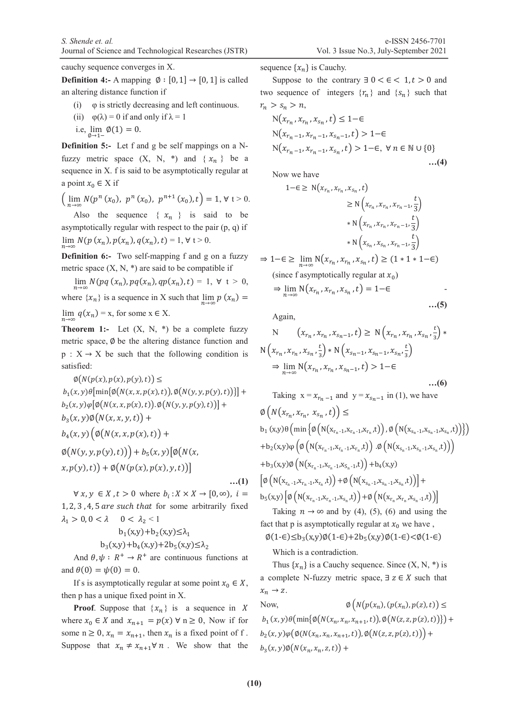cauchy sequence converges in X.

**Definition 4:-** A mapping  $\emptyset$  :  $[0, 1] \rightarrow [0, 1]$  is called an altering distance function if

- (i)  $\varphi$  is strictly decreasing and left continuous.
- (ii)  $\varphi(\lambda) = 0$  if and only if  $\lambda = 1$
- i.e,  $\lim_{\emptyset \to 1^-} \emptyset(1) = 0$ .

**Definition 5:-** Let f and g be self mappings on a Nfuzzy metric space  $(X, N, *)$  and  $\{x_n\}$  be a sequence in X. f is said to be asymptotically regular at a point  $x_0 \in X$  if

 $\left(\lim_{n\to\infty} N(p^n(x_0), p^n(x_0), p^{n+1}(x_0), t)\right) = 1, \forall t > 0.$ 

Also the sequence  $\{ x_n \}$  is said to be asymptotically regular with respect to the pair  $(p, q)$  if  $\lim_{n \to \infty} N(p(x_n), p(x_n), q(x_n), t) = 1, \forall t > 0.$ 

**Definition 6:-** Two self-mapping f and g on a fuzzy metric space  $(X, N, *)$  are said to be compatible if

 $\lim_{n \to \infty} N(pq(x_n), pq(x_n), qp(x_n), t) = 1, \forall t > 0,$ where  $\{x_n\}$  is a sequence in X such that  $\lim_{n\to\infty} p(x_n) =$ lim  $q(x_n) = x$ , for some  $x \in X$ .

**Theorem 1:-** Let  $(X, N, *)$  be a complete fuzzy metric space,  $\emptyset$  be the altering distance function and  $p: X \rightarrow X$  be such that the following condition is satisfied:

 $\varphi(N(p(x),p(x),p(y),t)) \leq$  $b_1(x, y) \theta \left[ \min\{\phi(N(x, x, p(x), t)), \phi(N(y, y, p(y), t))\}\right] +$  $b_2(x,y)\varphi[\varnothing(N(x,x,p(x),t)),\varnothing(N(y,y,p(y),t))] +$  $b_3(x, y) \phi(N(x, x, y, t)) +$  $b_4(x, y) \left( \emptyset \big( N(x, x, p(x), t) \big) + \right)$  $\phi(N(y, y, p(y), t)) + b_5(x, y) [\phi(N(x,$  $(x, p(y), t)$  +  $\emptyset(N(p(x), p(x), y, t))]$  $...(1)$ 

 $\forall x, y \in X, t > 0$  where  $b_i: X \times X \to [0, \infty)$ ,  $i =$  $1, 2, 3, 4, 5$  are such that for some arbitrarily fixed  $\lambda_1 > 0, 0 < \lambda$   $0 < \lambda_2 < 1$ 

$$
b_1(x,y)+b_2(x,y) \le \lambda_1
$$
  

$$
b_3(x,y)+b_4(x,y)+2b_5(x,y) \le \lambda_2
$$

And  $\theta$ ,  $\psi$  :  $R^+ \rightarrow R^+$  are continuous functions at and  $\theta(0) = \psi(0) = 0$ .

If s is asymptotically regular at some point  $x_0 \in X$ , then p has a unique fixed point in X.

**Proof.** Suppose that  $\{x_n\}$  is a sequence in X where  $x_0 \in X$  and  $x_{n+1} = p(x) \forall n \ge 0$ , Now if for some  $n \geq 0$ ,  $x_n = x_{n+1}$ , then  $x_n$  is a fixed point of f. Suppose that  $x_n \neq x_{n+1} \forall n$ . We show that the sequence  $\{x_n\}$  is Cauchy.

Suppose to the contrary  $\exists$  0 <  $\in$  < 1, t > 0 and two sequence of integers  $\{r_n\}$  and  $\{s_n\}$  such that  $r_n > s_n > n$ ,

$$
N(x_{r_n}, x_{r_n}, x_{s_n}, t) \le 1-\epsilon
$$
  
\n
$$
N(x_{r_{n-1}}, x_{r_{n-1}}, x_{s_{n-1}}, t) > 1-\epsilon
$$
  
\n
$$
N(x_{r_{n-1}}, x_{r_{n-1}}, x_{s_n}, t) > 1-\epsilon, \forall n \in \mathbb{N} \cup \{0\}
$$
  
\n...(4)

Now we have

$$
1-\epsilon \ge N(x_{r_n}, x_{r_n}, x_{s_n}, t)
$$
  
\n
$$
\ge N\left(x_{r_n}, x_{r_n}, x_{r_n-1}, \frac{t}{3}\right)
$$
  
\n
$$
* N\left(x_{r_n}, x_{r_n}, x_{r_n-1}, \frac{t}{3}\right)
$$
  
\n
$$
* N\left(x_{s_n}, x_{s_n}, x_{r_n-1}, \frac{t}{3}\right)
$$
  
\n
$$
\Rightarrow 1-\epsilon \ge \lim_{n\to\infty} N(x_{r_n}, x_{r_n}, x_{s_n}, t) \ge (1+1+1-\epsilon)
$$

(since f asymptotically regular at 
$$
x_0
$$
)

$$
\Rightarrow \lim_{n \to \infty} \mathcal{N}(x_{r_n}, x_{r_n}, x_{s_n}, t) = 1 - \epsilon
$$

Again,

N 
$$
(x_{r_n}, x_{r_n}, x_{s_n-1}, t)
$$
 ≥ N  $(x_{r_n}, x_{r_n}, x_{s_n}, \frac{t}{3})$  \*  
N  $(x_{r_n}, x_{r_n}, x_{s_n}, \frac{t}{3})$  \* N  $(x_{s_n-1}, x_{s_n-1}, x_{s_n}, \frac{t}{3})$   
⇒  $\lim_{n\to\infty}$  N  $(x_{r_n}, x_{r_n}, x_{s_n-1}, t)$  > 1−∈ ... (6)

Taking 
$$
x = x_{r_n - 1}
$$
 and  $y = x_{s_n - 1}$  in (1), we have

$$
\varphi\left(N(x_{r_n}, x_{r_n}, x_{s_n}, t)\right) \le
$$
\nb<sub>1</sub>(x,y)\theta\left(\min\left\{\varphi\left(N(x\_{r\_n-1}, x\_{r\_n-1}, x\_{r\_n}, t)\right), \varphi\left(N(x\_{s\_n-1}, x\_{s\_n-1}, x\_{s\_n}, t)\right)\right\}\right)   
+ b\_2(x,y)\varphi\left(\varphi\left(N(x\_{r\_n-1}, x\_{r\_n-1}, x\_{r\_n}, t)\right) \cdot \varphi\left(N(x\_{s\_n-1}, x\_{s\_n-1}, x\_{s\_n}, t)\right)\right)   
+ b\_3(x,y)\varphi\left(N(x\_{r\_n-1}, x\_{r\_n-1}, x\_{s\_n-1}, t)\right) + b\_4(x,y)   
\left[\varphi\left(N(x\_{r\_n-1}, x\_{r\_n-1}, x\_{r\_n}, t)\right) + \varphi\left(N(x\_{s\_n-1}, x\_{s\_n-1}, x\_{s\_n}, t)\right)\right] +   
b\_5(x,y)\left[\varphi\left(N(x\_{r\_n-1}, x\_{r\_n-1}, x\_{s\_n}, t)\right) + \varphi\left(N(x\_{r\_n}, x\_{r\_n}, x\_{s\_n-1}, t)\right)\right]   
+ \sum\_{i=1}^{n} \sum\_{i=1}^{n} \varphi\left(N(x\_{r\_n-1}, x\_{r\_n-1}, x\_{s\_n}, t)\right) + \varphi\left(N(x\_{r\_n}, x\_{r\_n}, x\_{s\_n-1}, t)\right)

Taking  $n \to \infty$  and by (4), (5), (6) and using the fact that p is asymptotically regular at  $x_0$  we have,

 $\phi(1-\epsilon)\leq b_3(x,y)\phi(1-\epsilon)+2b_5(x,y)\phi(1-\epsilon) < \phi(1-\epsilon)$ 

Which is a contradiction.

Thus  $\{x_n\}$  is a Cauchy sequence. Since  $(X, N, *)$  is a complete N-fuzzy metric space,  $\exists z \in X$  such that  $x_n \to z$ .

Now,  $\emptyset \left(N(p(x_n), (p(x_n), p(z), t)) \leq$  $b_1(x,y)\theta(\min\{\emptyset(N(x_n,x_n,x_{n+1},t)),\emptyset(N(z,z,p(z),t))\}) +$  $b_2(x,y)\varphi(\emptyset(N(x_n,x_n,x_{n+1},t)),\emptyset(N(z,z,p(z),t)))$  +  $b_3(x, y) \phi(N(x_n, x_n, z, t)) +$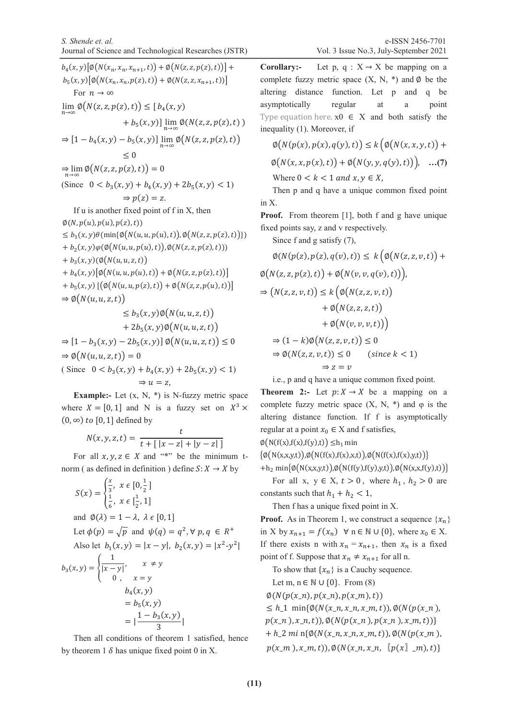$b_4(x,y) [\emptyset (N(x_n, x_n, x_{n+1},t)) + \emptyset (N(z, z, p(z),t))] +$  $b_5(x, y) [\phi(N(x_n, x_n, p(z), t)) + \phi(N(z, z, x_{n+1}, t))]$ For  $n \to \infty$  $\lim_{n\to\infty}\phi(N(z, z, p(z), t)) \leq [b_4(x, y)]$  $(+ b_5(x,y)] \lim_{n \to \infty} \phi(N(z, z, p(z), t))$  $\Rightarrow$   $[1 - b_4(x, y) - b_5(x, y)] \lim_{n \to \infty} \emptyset(N(z, z, p(z), t))$  $< 0$  $\Rightarrow \lim_{n\to\infty} \phi(N(z, z, p(z), t)) = 0$ (Since  $0 < b_3(x, y) + b_4(x, y) + 2b_5(x, y) < 1$ )  $\Rightarrow p(z) = z.$ If u is another fixed point of f in X, then  $\varphi(N,p(u),p(u),p(z),t))$  $\leq b_1(x,y)\theta(\min\{\emptyset(N(u,u,p(u),t)),\emptyset(N(z,z,p(z),t))\})$  $+(b_2(x,y)\varphi(\emptyset(N(u,u,p(u),t)),\emptyset(N(z,z,p(z),t))))$  $+ b_3(x, y) (\emptyset(N(u, u, z, t)))$  $+ b_4(x, y) [\phi(N(u, u, p(u), t)) + \phi(N(z, z, p(z), t))]$  $+ b_5(x, y) \left[ \left( \phi(N(u, u, p(z), t)) + \phi(N(z, z, p(u), t)) \right) \right]$  $\Rightarrow \emptyset(N(u, u, z, t))$  $\leq b_3(x, y) \phi(N(u, u, z, t))$  $+ 2b_5(x, y)\emptyset(N(u, u, z, t))$  $\Rightarrow$   $[1 - b_3(x, y) - 2b_5(x, y)] \phi(N(u, u, z, t)) \leq 0$  $\Rightarrow \emptyset(N(u, u, z, t)) = 0$ (Since  $0 < b_3(x, y) + b_4(x, y) + 2b_5(x, y) < 1$ )  $\Rightarrow u = z$ ,

**Example:-** Let  $(x, N, *)$  is N-fuzzy metric space where  $X = [0, 1]$  and N is a fuzzy set on  $X^3$  ×  $(0, \infty)$  to [0, 1] defined by

$$
N(x, y, z, t) = \frac{t}{t + [ |x - z| + |y - z| ]}
$$

For all  $x, y, z \in X$  and "\*" be the minimum tnorm ( as defined in definition ) define  $S: X \to X$  by

$$
S(x) = \begin{cases} \frac{x}{3}, & x \in [0, \frac{1}{2}] \\ \frac{1}{6}, & x \in [\frac{1}{2}, 1] \end{cases}
$$
  
and  $\emptyset(\lambda) = 1 - \lambda, \lambda \in [0, 1]$   
Let  $\phi(p) = \sqrt{p}$  and  $\psi(q) = q^2, \forall p, q \in R^+$   
Also let  $b_1(x, y) = |x - y|, b_2(x, y) = |x^2 - y^2|$   
 $b_3(x, y) = \begin{cases} \frac{1}{|x - y|}, & x \neq y \\ 0, & x = y \end{cases}$   
 $b_4(x, y) = b_5(x, y)$   
 $= |\frac{1 - b_3(x, y)}{3}|$ 

Then all conditions of theorem 1 satisfied, hence by theorem 1  $\delta$  has unique fixed point 0 in X.

**Corollary:-** Let p,  $q : X \rightarrow X$  be mapping on a complete fuzzy metric space  $(X, N, *)$  and  $\emptyset$  be the altering distance function. Let p and q be asymptotically regular at a point Type equation here.  $x0 \in X$  and both satisfy the inequality (1). Moreover, if

$$
\varnothing(N(p(x), p(x), q(y), t)) \le k\big(\varnothing(N(x, x, y, t)) + \varnothing(N(x, x, p(x), t)) + \varnothing(N(y, y, q(y), t))\big), \dots (7)
$$
  
Where  $0 < k < 1$  and  $x, y \in X$ ,

Then p and q have a unique common fixed point in X.

**Proof.** From theorem [1], both f and g have unique fixed points say, z and v respectively.

Since f and g satisfy (7),

$$
\emptyset(N(p(z), p(z), q(v), t)) \leq k \big( \emptyset(N(z, z, v, t)) + \emptyset(N(z, z, p(z), t)) + \emptyset(N(v, v, q(v), t)) \big),
$$
  
\n
$$
\Rightarrow (N(z, z, v, t)) \leq k \big( \emptyset(N(z, z, v, t)) + \emptyset(N(z, z, z, t)) + \emptyset(N(v, v, v, t)) \big)
$$
  
\n
$$
\Rightarrow (1 - k) \emptyset(N(z, z, v, t)) \leq 0
$$
  
\n
$$
\Rightarrow \emptyset(N(z, z, v, t)) \leq 0 \quad (\text{since } k < 1)
$$
  
\n
$$
\Rightarrow z = v
$$

i.e., p and q have a unique common fixed point.

**Theorem 2:-** Let  $p: X \to X$  be a mapping on a complete fuzzy metric space  $(X, N, *)$  and  $\varphi$  is the altering distance function. If f is asymptotically regular at a point  $x_0 \in X$  and f satisfies,

 $\varphi(N(f(x),f(x),f(y),t)) \leq h_1$  min

 $\{\phi(N(x,x,y,t)),\phi(N(f(x),f(x),x,t)),\phi(N(f(x),f(x),y,t))\}$ 

+h<sub>2</sub> min{ $\phi(N(x,x,y,t)),\phi(N(f(y),f(y),y,t)),\phi(N(x,x,f(y),t))$ }

For all x,  $y \in X$ ,  $t > 0$ , where  $h_1$ ,  $h_2 > 0$  are constants such that  $h_1 + h_2 < 1$ ,

Then f has a unique fixed point in X.

**Proof.** As in Theorem 1, we construct a sequence  $\{x_n\}$ in X by  $x_{n+1} = f(x_n)$   $\forall$  n  $\in \mathbb{N} \cup \{0\}$ , where  $x_0 \in X$ . If there exists n with  $x_n = x_{n+1}$ , then  $x_n$  is a fixed point of f. Suppose that  $x_n \neq x_{n+1}$  for all n.

To show that  $\{x_n\}$  is a Cauchy sequence.

Let m,  $n \in \mathbb{N} \cup \{0\}$ . From (8)  $\phi(N(p(x_n),p(x_n),p(x_m),t))$ 

 $\leq h$ <sub>-1</sub> min{ $\emptyset(N(x_n, x_n, x_n, x_n, t))$ ,  $\emptyset(N(p(x_n),$  ${p(x_n), x_n, t)}, \emptyset(N({p(x_n), p(x_n), x_m, t)})$  $+h_2 m i \eta \{ \emptyset(N(x_n, x_n, x_n, x_n, t)), \emptyset(N(p(x_n,$ 

 $p(x_m), x_m, t), \emptyset(N(x_n, x_n, [p(x], m), t))$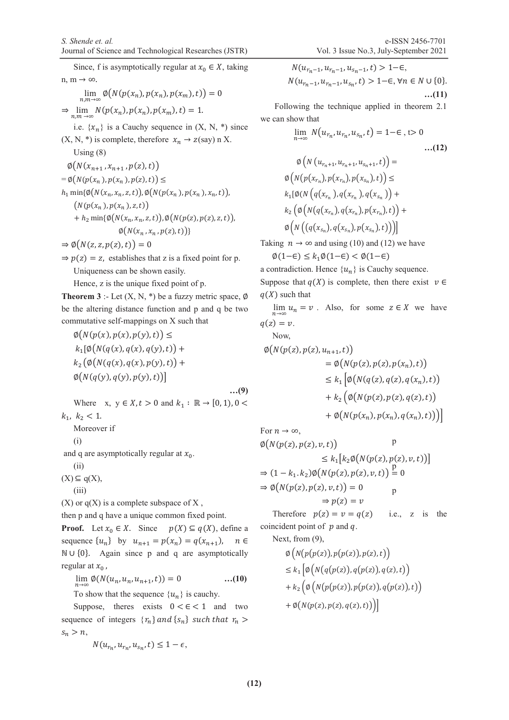Since, f is asymptotically regular at  $x_0 \in X$ , taking n, m  $\rightarrow \infty$ .  $\lim_{n,m\to\infty}\phi(N(p(x_n),p(x_n),p(x_m), t))=0$ 

 $\Rightarrow \lim_{n,m \to \infty} N(p(x_n), p(x_n), p(x_m), t) = 1.$ 

i.e.  $\{x_n\}$  is a Cauchy sequence in  $(X, N, *)$  since  $(X, N, *)$  is complete, therefore  $x_n \rightarrow z$  (say) n X.

Using  $(8)$ 

 $\emptyset(N(x_{n+1},x_{n+1},p(z),t))$  $=\phi(N(p(x_n),p(x_n),p(z),t)) \leq$  $h_1$  min $\{\emptyset(N(x_n,x_n,z,t)),\emptyset(N(p(x_n),p(x_n),x_n,t)),\}$  $(N(p(x_n),p(x_n),z,t))$  $+h_2 \min{\{\emptyset(N(x_n, x_n, z, t)), \emptyset(N(p(z), p(z), z, t)\},\)}$  $\emptyset(N(x_n,x_n,p(z),t))$ 

$$
\Rightarrow \emptyset(N(z, z, p(z), t)) = 0
$$

 $\Rightarrow p(z) = z$ , establishes that z is a fixed point for p. Uniqueness can be shown easily.

Hence, z is the unique fixed point of p.

**Theorem 3** :- Let  $(X, N, *)$  be a fuzzy metric space,  $\emptyset$ be the altering distance function and p and q be two commutative self-mappings on X such that

$$
\varnothing(N(p(x), p(x), p(y), t)) \le \nk_1[\varnothing(N(q(x), q(x), q(y), t)) +\nk_2(\varnothing(N(q(x), q(x), p(y), t)) +\varnothing(N(q(y), q(y), p(y), t))]
$$
\n...(9)

Where x,  $y \in X, t > 0$  and  $k_1 : \mathbb{R} \to [0, 1), 0 <$  $k_1, k_2 < 1.$ 

Moreover if

$$
(\mathrm{i})
$$

and q are asymptotically regular at  $x_0$ .

 $(X) \subseteq q(X),$ 

 $(X)$  or  $q(X)$  is a complete subspace of X,

then p and q have a unique common fixed point.

**Proof.** Let  $x_0 \in X$ . Since  $p(X) \subseteq q(X)$ , define a sequence  $\{u_n\}$  by  $u_{n+1} = p(x_n) = q(x_{n+1})$ ,  $n \in$  $\mathbb{N} \cup \{0\}$ . Again since p and q are asymptotically regular at  $x_0$ ,

 $\lim_{n \to \infty} \phi(N(u_n, u_n, u_{n+1}, t)) = 0$  ...(10)

To show that the sequence  $\{u_n\}$  is cauchy.

Suppose, theres exists  $0 < \epsilon < 1$  and two sequence of integers  $\{r_n\}$  and  $\{s_n\}$  such that  $r_n$  $s_n > n$ ,

$$
N(u_{r_n}, u_{r_n}, u_{s_n}, t) \leq 1 - \epsilon,
$$

 $N(u_{r_n-1}, u_{r_n-1}, u_{s_n-1}, t) > 1-\epsilon,$  $N(u_{r_{n}-1}, u_{r_{n}-1}, u_{s_{n}}, t) > 1-\epsilon, \forall n \in N \cup \{0\}.$ **…(11)** 

 Following the technique applied in theorem 2.1 we can show that

$$
\lim_{n \to \infty} N(u_{r_n}, u_{r_n}, u_{s_n}, t) = 1 - \epsilon, t > 0
$$
\n...(12)  
\n
$$
\emptyset \left( N(u_{r_n+1}, u_{r_n+1}, u_{s_n+1}, t) \right) =
$$
\n
$$
\emptyset \left( N(p(x_{r_n}), p(x_{r_n}), p(x_{s_n}), t) \right) \le
$$
\n
$$
k_1 [\emptyset (N(q(x_{r_n}), q(x_{r_n}), q(x_{s_n})) +
$$
\n
$$
k_2 \left( \emptyset \left( N(q(x_{r_n}), q(x_{r_n}), p(x_{r_n}), t) \right) \right) +
$$
\n
$$
\emptyset \left( N \left( (q(x_{s_n}), q(x_{s_n}), p(x_{s_n}), t) \right) \right) ]
$$

Taking  $n \to \infty$  and using (10) and (12) we have

$$
\emptyset(1{-}\epsilon) \leq k_1 \emptyset(1{-}\epsilon) < \emptyset(1{-}\epsilon)
$$

a contradiction. Hence  $\{u_n\}$  is Cauchy sequence. Suppose that  $q(X)$  is complete, then there exist  $v \in$  $q(X)$  such that

 $\lim u_n = v$ . Also, for some  $z \in X$  we have  $q(z) = v$ .

Now,

$$
\varphi\big(N(p(z), p(z), u_{n+1}, t)\big) \n= \varphi\big(N(p(z), p(z), p(x_n), t)\big) \n\le k_1 \Big[\varphi\big(N(q(z), q(z), q(x_n), t)\big) \n+ k_2 \Big(\varphi\big(N(p(z), p(z), q(z), t)\big) \n+ \varphi\big(N(p(x_n), p(x_n), q(x_n), t)\big)\Big)\Big]
$$

For  $n \to \infty$ ,

(i)  
\n
$$
\begin{aligned}\n\mathfrak{g}(n(p(z), p(z), v, t)) & \mathfrak{p} \\
\mathfrak{q} \text{ are asymptotically regular at } x_0. & \mathfrak{g}(N(p(z), p(z), v, t)) \\
& \Rightarrow (1 - k_1 \cdot k_2) \mathfrak{g}(N(p(z), p(z), v, t)) \stackrel{\text{p}}{=} 0 \\
& \Rightarrow \mathfrak{g}(N(p(z), p(z), v, t)) = 0 \\
\text{or } q(X) \text{ is a complete subspace of } X, & \Rightarrow p(z) = v\n\end{aligned}
$$

Therefore  $p(z) = v = q(z)$  i.e., z is the coincident point of  $p$  and  $q$ .

Next, from (9),

$$
\varnothing \Big( N\big(p\big(p(z)\big), p\big(p(z)\big), p(z), t\big) \Big) \leq k_1 \Big[ \varnothing \Big( N\big(q\big(p(z)\big), q\big(p(z)\big), q(z), t\big) \Big) + k_2 \Big( \varnothing \Big( N\big(p\big(p(z)\big), p\big(p(z)\big), q\big(p(z)\big), t\big) \Big) + \varnothing \big(N\big(p(z), p(z), q(z), t\big) \Big) \Big]
$$